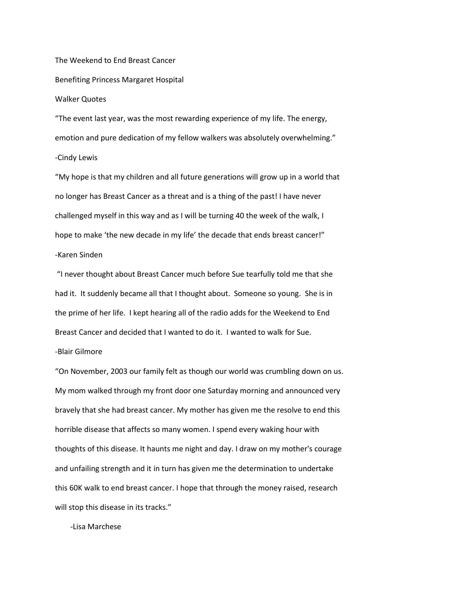The Weekend to End Breast Cancer Benefiting Princess Margaret Hospital

## Walker Quotes

"The event last year, was the most rewarding experience of my life. The energy, emotion and pure dedication of my fellow walkers was absolutely overwhelming."

## -Cindy Lewis

"My hope is that my children and all future generations will grow up in a world that no longer has Breast Cancer as a threat and is a thing of the past! I have never challenged myself in this way and as I will be turning 40 the week of the walk, I hope to make 'the new decade in my life' the decade that ends breast cancer!" -Karen Sinden

"I never thought about Breast Cancer much before Sue tearfully told me that she had it. It suddenly became all that I thought about. Someone so young. She is in the prime of her life. I kept hearing all of the radio adds for the Weekend to End Breast Cancer and decided that I wanted to do it. I wanted to walk for Sue.

## -Blair Gilmore

"On November, 2003 our family felt as though our world was crumbling down on us. My mom walked through my front door one Saturday morning and announced very bravely that she had breast cancer. My mother has given me the resolve to end this horrible disease that affects so many women. I spend every waking hour with thoughts of this disease. It haunts me night and day. I draw on my mother's courage and unfailing strength and it in turn has given me the determination to undertake this 60K walk to end breast cancer. I hope that through the money raised, research will stop this disease in its tracks."

-Lisa Marchese